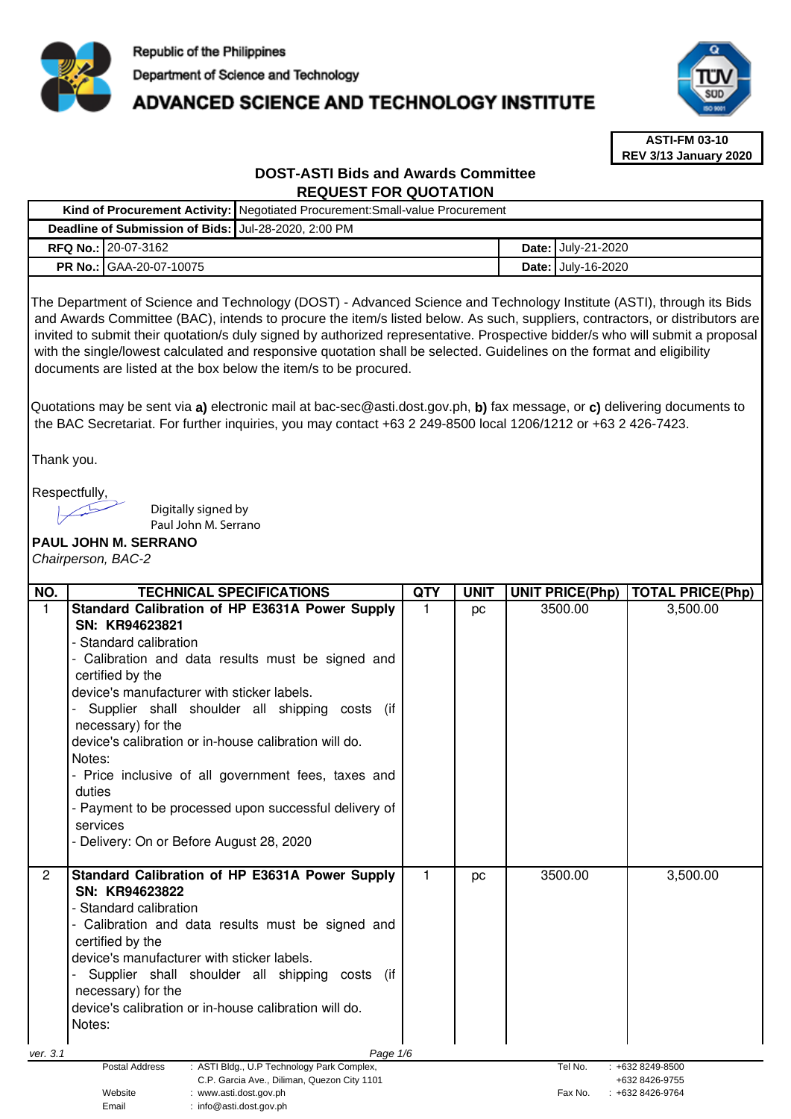

**Kind of Procurement Activity:** Negotiated Procurement:Small-value Procurement

# ADVANCED SCIENCE AND TECHNOLOGY INSTITUTE



**ASTI-FM 03-10 REV 3/13 January 2020**

# **DOST-ASTI Bids and Awards Committee REQUEST FOR QUOTATION**

| Deadline of Submission of Bids: Jul-28-2020, 2:00 PM |                                                                                                                                                                                                                                                                                                                                                                                                                                                                                                                                                                                                                                                                                                                 |             |             |  |                        |                                                            |
|------------------------------------------------------|-----------------------------------------------------------------------------------------------------------------------------------------------------------------------------------------------------------------------------------------------------------------------------------------------------------------------------------------------------------------------------------------------------------------------------------------------------------------------------------------------------------------------------------------------------------------------------------------------------------------------------------------------------------------------------------------------------------------|-------------|-------------|--|------------------------|------------------------------------------------------------|
|                                                      | RFQ No.: 20-07-3162                                                                                                                                                                                                                                                                                                                                                                                                                                                                                                                                                                                                                                                                                             |             |             |  | Date: July-21-2020     |                                                            |
|                                                      | PR No.:<br>GAA-20-07-10075                                                                                                                                                                                                                                                                                                                                                                                                                                                                                                                                                                                                                                                                                      |             |             |  | Date: July-16-2020     |                                                            |
|                                                      | The Department of Science and Technology (DOST) - Advanced Science and Technology Institute (ASTI), through its Bids<br>and Awards Committee (BAC), intends to procure the item/s listed below. As such, suppliers, contractors, or distributors are<br>invited to submit their quotation/s duly signed by authorized representative. Prospective bidder/s who will submit a proposal<br>with the single/lowest calculated and responsive quotation shall be selected. Guidelines on the format and eligibility<br>documents are listed at the box below the item/s to be procured.<br>Quotations may be sent via a) electronic mail at bac-sec@asti.dost.gov.ph, b) fax message, or c) delivering documents to |             |             |  |                        |                                                            |
|                                                      | the BAC Secretariat. For further inquiries, you may contact +63 2 249-8500 local 1206/1212 or +63 2 426-7423.                                                                                                                                                                                                                                                                                                                                                                                                                                                                                                                                                                                                   |             |             |  |                        |                                                            |
| Thank you.                                           |                                                                                                                                                                                                                                                                                                                                                                                                                                                                                                                                                                                                                                                                                                                 |             |             |  |                        |                                                            |
|                                                      | Respectfully,<br>Digitally signed by<br>Paul John M. Serrano<br>PAUL JOHN M. SERRANO<br>Chairperson, BAC-2                                                                                                                                                                                                                                                                                                                                                                                                                                                                                                                                                                                                      |             |             |  |                        |                                                            |
| NO.                                                  | <b>TECHNICAL SPECIFICATIONS</b>                                                                                                                                                                                                                                                                                                                                                                                                                                                                                                                                                                                                                                                                                 | <b>QTY</b>  | <b>UNIT</b> |  | <b>UNIT PRICE(Php)</b> | <b>TOTAL PRICE(Php)</b>                                    |
| $\mathbf{1}$                                         | Standard Calibration of HP E3631A Power Supply<br>SN: KR94623821<br>- Standard calibration<br>- Calibration and data results must be signed and<br>certified by the<br>device's manufacturer with sticker labels.<br>Supplier shall shoulder all shipping costs (if<br>necessary) for the<br>device's calibration or in-house calibration will do.<br>Notes:<br>- Price inclusive of all government fees, taxes and<br>duties<br>- Payment to be processed upon successful delivery of<br>services<br>- Delivery: On or Before August 28, 2020                                                                                                                                                                  | 1           | pc          |  | 3500.00                | 3,500.00                                                   |
| $\overline{2}$<br>ver. 3.1                           | Standard Calibration of HP E3631A Power Supply<br>SN: KR94623822<br>- Standard calibration<br>Calibration and data results must be signed and<br>certified by the<br>device's manufacturer with sticker labels.<br>Supplier shall shoulder all shipping<br>costs (if<br>necessary) for the<br>device's calibration or in-house calibration will do.<br>Notes:<br>Page 1/6                                                                                                                                                                                                                                                                                                                                       | $\mathbf 1$ | pc          |  | 3500.00                | 3,500.00                                                   |
|                                                      | Postal Address<br>: ASTI Bldg., U.P Technology Park Complex,<br>C.P. Garcia Ave., Diliman, Quezon City 1101<br>Website<br>: www.asti.dost.gov.ph<br>Email<br>: info@asti.dost.gov.ph                                                                                                                                                                                                                                                                                                                                                                                                                                                                                                                            |             |             |  | Tel No.<br>Fax No.     | $: +6328249 - 8500$<br>+632 8426-9755<br>$: +6328426-9764$ |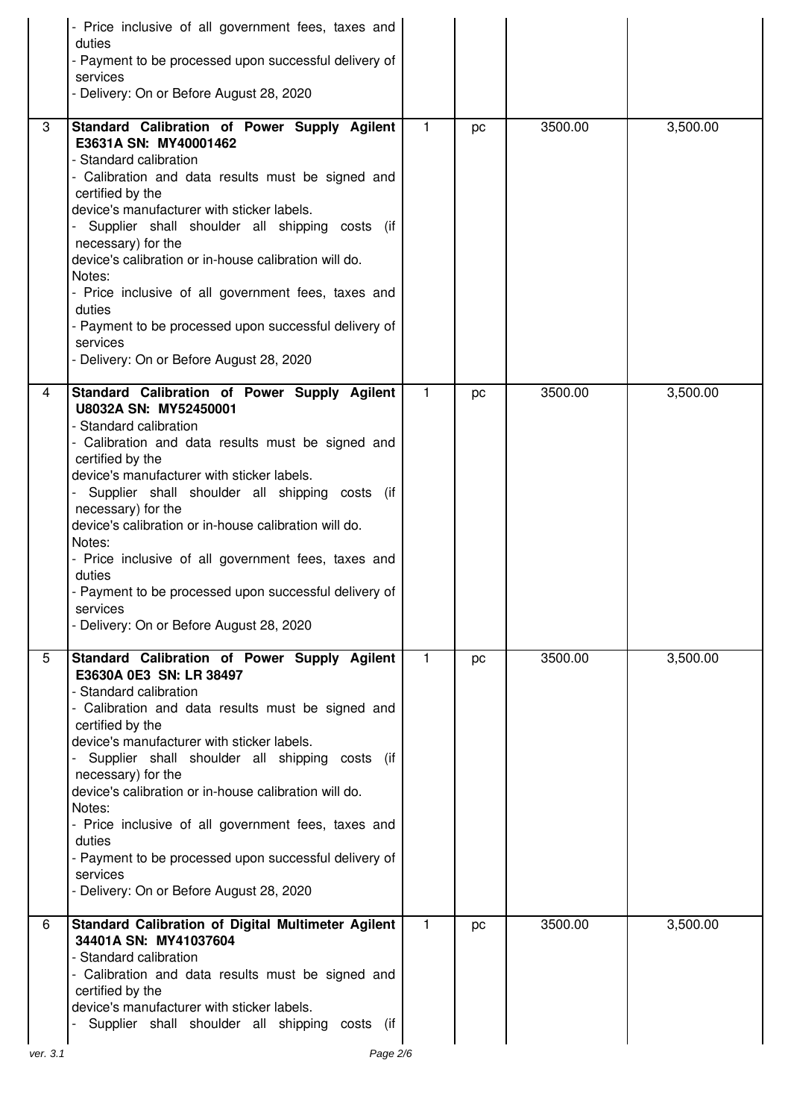|   | Price inclusive of all government fees, taxes and<br>duties<br>- Payment to be processed upon successful delivery of<br>services<br>- Delivery: On or Before August 28, 2020                                                                                                                                                                                                                                                                                                                                                                          |              |    |         |          |
|---|-------------------------------------------------------------------------------------------------------------------------------------------------------------------------------------------------------------------------------------------------------------------------------------------------------------------------------------------------------------------------------------------------------------------------------------------------------------------------------------------------------------------------------------------------------|--------------|----|---------|----------|
| 3 | Standard Calibration of Power Supply Agilent<br>E3631A SN: MY40001462<br>- Standard calibration<br>- Calibration and data results must be signed and<br>certified by the<br>device's manufacturer with sticker labels.<br>Supplier shall shoulder all shipping costs (if<br>necessary) for the<br>device's calibration or in-house calibration will do.<br>Notes:<br>- Price inclusive of all government fees, taxes and<br>duties<br>- Payment to be processed upon successful delivery of<br>services<br>- Delivery: On or Before August 28, 2020   | 1            | pc | 3500.00 | 3,500.00 |
| 4 | Standard Calibration of Power Supply Agilent<br>U8032A SN: MY52450001<br>- Standard calibration<br>- Calibration and data results must be signed and<br>certified by the<br>device's manufacturer with sticker labels.<br>Supplier shall shoulder all shipping costs (if<br>necessary) for the<br>device's calibration or in-house calibration will do.<br>Notes:<br>- Price inclusive of all government fees, taxes and<br>duties<br>- Payment to be processed upon successful delivery of<br>services<br>- Delivery: On or Before August 28, 2020   | 1            | pc | 3500.00 | 3,500.00 |
| 5 | Standard Calibration of Power Supply Agilent<br>E3630A 0E3 SN: LR 38497<br>- Standard calibration<br>- Calibration and data results must be signed and<br>certified by the<br>device's manufacturer with sticker labels.<br>Supplier shall shoulder all shipping costs (if<br>necessary) for the<br>device's calibration or in-house calibration will do.<br>Notes:<br>- Price inclusive of all government fees, taxes and<br>duties<br>- Payment to be processed upon successful delivery of<br>services<br>- Delivery: On or Before August 28, 2020 | $\mathbf{1}$ | pc | 3500.00 | 3,500.00 |
| 6 | Standard Calibration of Digital Multimeter Agilent<br>34401A SN: MY41037604<br>- Standard calibration<br>- Calibration and data results must be signed and<br>certified by the<br>device's manufacturer with sticker labels.<br>Supplier shall shoulder all shipping costs (if                                                                                                                                                                                                                                                                        | 1.           | pc | 3500.00 | 3,500.00 |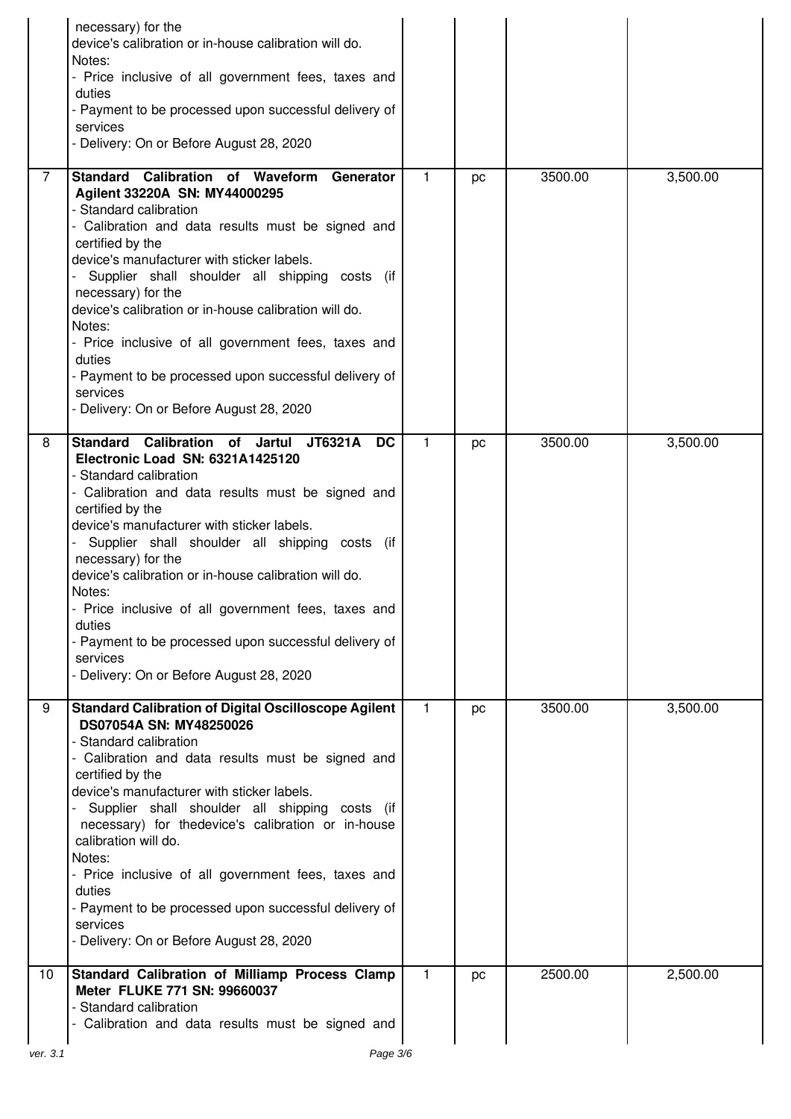|                | necessary) for the<br>device's calibration or in-house calibration will do.<br>Notes:<br>- Price inclusive of all government fees, taxes and<br>duties<br>- Payment to be processed upon successful delivery of<br>services<br>- Delivery: On or Before August 28, 2020                                                                                                                                                                                                                                                                                                          |              |    |         |          |
|----------------|----------------------------------------------------------------------------------------------------------------------------------------------------------------------------------------------------------------------------------------------------------------------------------------------------------------------------------------------------------------------------------------------------------------------------------------------------------------------------------------------------------------------------------------------------------------------------------|--------------|----|---------|----------|
| $\overline{7}$ | Standard Calibration of Waveform<br>Generator<br>Agilent 33220A SN: MY44000295<br>- Standard calibration<br>- Calibration and data results must be signed and<br>certified by the<br>device's manufacturer with sticker labels.<br>Supplier shall shoulder all shipping costs (if<br>necessary) for the<br>device's calibration or in-house calibration will do.<br>Notes:<br>- Price inclusive of all government fees, taxes and<br>duties<br>- Payment to be processed upon successful delivery of<br>services<br>- Delivery: On or Before August 28, 2020                     | 1.           | pc | 3500.00 | 3,500.00 |
| 8              | Calibration of Jartul<br><b>Standard</b><br>JT6321A<br><b>DC</b><br>Electronic Load SN: 6321A1425120<br>- Standard calibration<br>- Calibration and data results must be signed and<br>certified by the<br>device's manufacturer with sticker labels.<br>Supplier shall shoulder all shipping costs (if<br>necessary) for the<br>device's calibration or in-house calibration will do.<br>Notes:<br>Price inclusive of all government fees, taxes and<br>duties<br>- Payment to be processed upon successful delivery of<br>services<br>- Delivery: On or Before August 28, 2020 | $\mathbf{1}$ | pc | 3500.00 | 3,500.00 |
| 9              | <b>Standard Calibration of Digital Oscilloscope Agilent</b><br>DS07054A SN: MY48250026<br>- Standard calibration<br>- Calibration and data results must be signed and<br>certified by the<br>device's manufacturer with sticker labels.<br>Supplier shall shoulder all shipping costs (if<br>necessary) for thedevice's calibration or in-house<br>calibration will do.<br>Notes:<br>- Price inclusive of all government fees, taxes and<br>duties<br>- Payment to be processed upon successful delivery of<br>services<br>- Delivery: On or Before August 28, 2020              | 1.           | pc | 3500.00 | 3,500.00 |
| 10             | Standard Calibration of Milliamp Process Clamp<br>Meter FLUKE 771 SN: 99660037<br>- Standard calibration<br>- Calibration and data results must be signed and                                                                                                                                                                                                                                                                                                                                                                                                                    | 1            | pc | 2500.00 | 2,500.00 |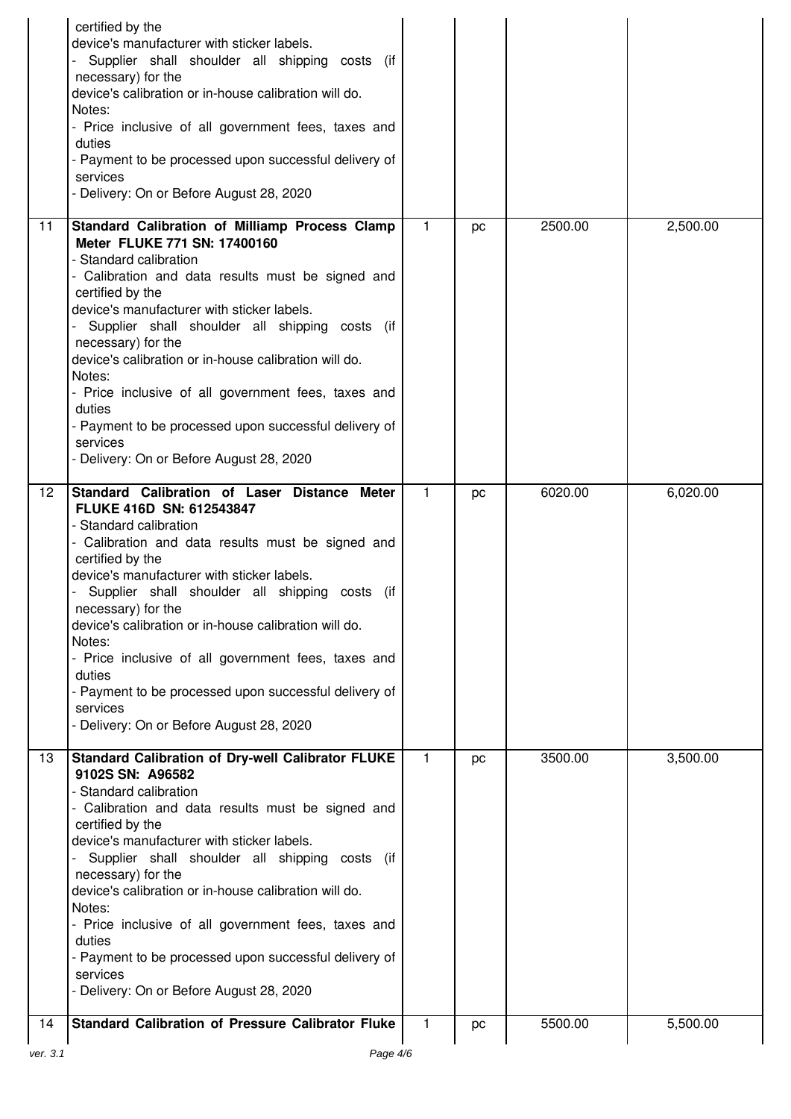|                 | certified by the<br>device's manufacturer with sticker labels.<br>Supplier shall shoulder all shipping costs (if<br>necessary) for the<br>device's calibration or in-house calibration will do.<br>Notes:<br>- Price inclusive of all government fees, taxes and<br>duties<br>- Payment to be processed upon successful delivery of<br>services<br>- Delivery: On or Before August 28, 2020                                                                                                                                                                  |              |    |         |          |
|-----------------|--------------------------------------------------------------------------------------------------------------------------------------------------------------------------------------------------------------------------------------------------------------------------------------------------------------------------------------------------------------------------------------------------------------------------------------------------------------------------------------------------------------------------------------------------------------|--------------|----|---------|----------|
| 11              | Standard Calibration of Milliamp Process Clamp<br>Meter FLUKE 771 SN: 17400160<br>- Standard calibration<br>- Calibration and data results must be signed and<br>certified by the<br>device's manufacturer with sticker labels.<br>Supplier shall shoulder all shipping costs (if<br>necessary) for the<br>device's calibration or in-house calibration will do.<br>Notes:<br>- Price inclusive of all government fees, taxes and<br>duties<br>- Payment to be processed upon successful delivery of<br>services<br>- Delivery: On or Before August 28, 2020 | $\mathbf{1}$ | pc | 2500.00 | 2,500.00 |
| 12 <sup>2</sup> | Standard Calibration of Laser Distance Meter<br>FLUKE 416D SN: 612543847<br>- Standard calibration<br>- Calibration and data results must be signed and<br>certified by the<br>device's manufacturer with sticker labels.<br>Supplier shall shoulder all shipping costs (if<br>necessary) for the<br>device's calibration or in-house calibration will do.<br>Notes:<br>- Price inclusive of all government fees, taxes and<br>duties<br>- Payment to be processed upon successful delivery of<br>services<br>- Delivery: On or Before August 28, 2020       | $\mathbf{1}$ | pc | 6020.00 | 6,020.00 |
| 13              | <b>Standard Calibration of Dry-well Calibrator FLUKE</b><br>9102S SN: A96582<br>- Standard calibration<br>- Calibration and data results must be signed and<br>certified by the<br>device's manufacturer with sticker labels.<br>Supplier shall shoulder all shipping costs (if<br>necessary) for the<br>device's calibration or in-house calibration will do.<br>Notes:<br>- Price inclusive of all government fees, taxes and<br>duties<br>- Payment to be processed upon successful delivery of<br>services<br>- Delivery: On or Before August 28, 2020   | 1            | pc | 3500.00 | 3,500.00 |
| 14<br>ver. 3.1  | <b>Standard Calibration of Pressure Calibrator Fluke</b><br>Page 4/6                                                                                                                                                                                                                                                                                                                                                                                                                                                                                         | 1            | pc | 5500.00 | 5,500.00 |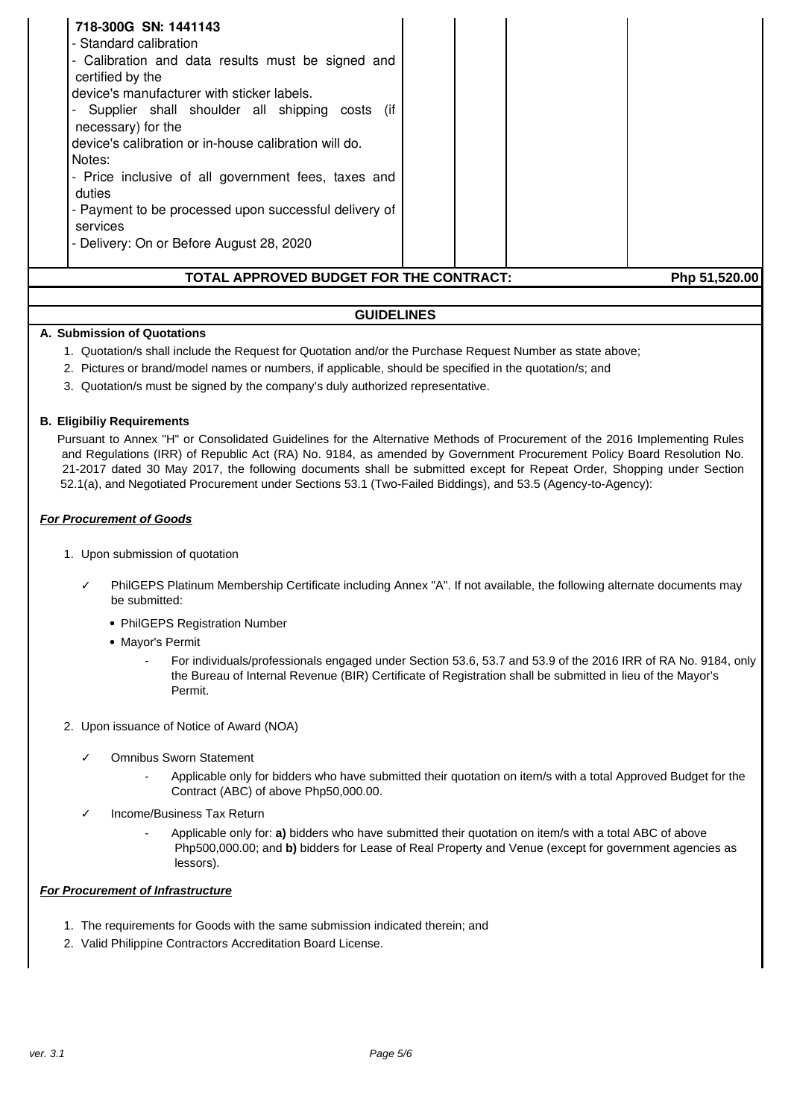| 718-300G SN: 1441143<br>- Standard calibration<br>- Calibration and data results must be signed and<br>certified by the<br>device's manufacturer with sticker labels.<br>Supplier shall shoulder all shipping costs (if<br>necessary) for the<br>device's calibration or in-house calibration will do.<br>Notes:<br>- Price inclusive of all government fees, taxes and<br>duties<br>- Payment to be processed upon successful delivery of<br>services<br>- Delivery: On or Before August 28, 2020 |               |
|----------------------------------------------------------------------------------------------------------------------------------------------------------------------------------------------------------------------------------------------------------------------------------------------------------------------------------------------------------------------------------------------------------------------------------------------------------------------------------------------------|---------------|
| TOTAL APPROVED BUDGET FOR THE CONTRACT:                                                                                                                                                                                                                                                                                                                                                                                                                                                            | Php 51,520.00 |

### **A. Submission of Quotations**

- 1. Quotation/s shall include the Request for Quotation and/or the Purchase Request Number as state above;
- 2. Pictures or brand/model names or numbers, if applicable, should be specified in the quotation/s; and
- 3. Quotation/s must be signed by the company's duly authorized representative.

#### **B. Eligibiliy Requirements**

Pursuant to Annex "H" or Consolidated Guidelines for the Alternative Methods of Procurement of the 2016 Implementing Rules and Regulations (IRR) of Republic Act (RA) No. 9184, as amended by Government Procurement Policy Board Resolution No. 21-2017 dated 30 May 2017, the following documents shall be submitted except for Repeat Order, Shopping under Section 52.1(a), and Negotiated Procurement under Sections 53.1 (Two-Failed Biddings), and 53.5 (Agency-to-Agency):

#### **For Procurement of Goods**

- 1. Upon submission of quotation
	- PhilGEPS Platinum Membership Certificate including Annex "A". If not available, the following alternate documents may be submitted:
		- PhilGEPS Registration Number
		- Mayor's Permit
			- For individuals/professionals engaged under Section 53.6, 53.7 and 53.9 of the 2016 IRR of RA No. 9184, only the Bureau of Internal Revenue (BIR) Certificate of Registration shall be submitted in lieu of the Mayor's Permit.
- 2. Upon issuance of Notice of Award (NOA)
	- ✓ Omnibus Sworn Statement
		- Applicable only for bidders who have submitted their quotation on item/s with a total Approved Budget for the Contract (ABC) of above Php50,000.00.
	- Income/Business Tax Return
		- Applicable only for: **a)** bidders who have submitted their quotation on item/s with a total ABC of above Php500,000.00; and **b)** bidders for Lease of Real Property and Venue (except for government agencies as lessors).

#### **For Procurement of Infrastructure**

- 1. The requirements for Goods with the same submission indicated therein; and
- 2. Valid Philippine Contractors Accreditation Board License.